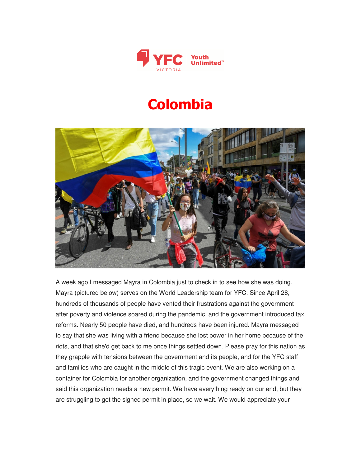

## **Colombia**



A week ago I messaged Mayra in Colombia just to check in to see how she was doing. Mayra (pictured below) serves on the World Leadership team for YFC. Since April 28, hundreds of thousands of people have vented their frustrations against the government after poverty and violence soared during the pandemic, and the government introduced tax reforms. Nearly 50 people have died, and hundreds have been injured. Mayra messaged to say that she was living with a friend because she lost power in her home because of the riots, and that she'd get back to me once things settled down. Please pray for this nation as they grapple with tensions between the government and its people, and for the YFC staff and families who are caught in the middle of this tragic event. We are also working on a container for Colombia for another organization, and the government changed things and said this organization needs a new permit. We have everything ready on our end, but they are struggling to get the signed permit in place, so we wait. We would appreciate your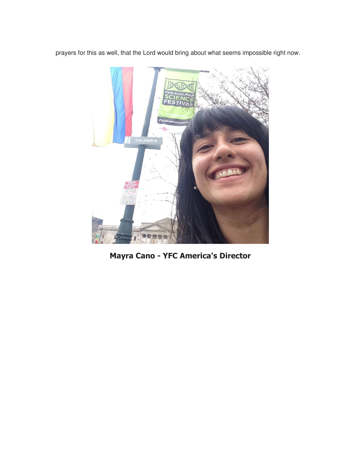prayers for this as well, that the Lord would bring about what seems impossible right now.



**Mayra Cano - YFC America's Director**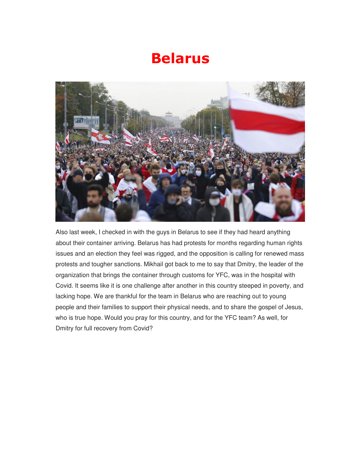## **Belarus**



Also last week, I checked in with the guys in Belarus to see if they had heard anything about their container arriving. Belarus has had protests for months regarding human rights issues and an election they feel was rigged, and the opposition is calling for renewed mass protests and tougher sanctions. Mikhail got back to me to say that Dmitry, the leader of the organization that brings the container through customs for YFC, was in the hospital with Covid. It seems like it is one challenge after another in this country steeped in poverty, and lacking hope. We are thankful for the team in Belarus who are reaching out to young people and their families to support their physical needs, and to share the gospel of Jesus, who is true hope. Would you pray for this country, and for the YFC team? As well, for Dmitry for full recovery from Covid?